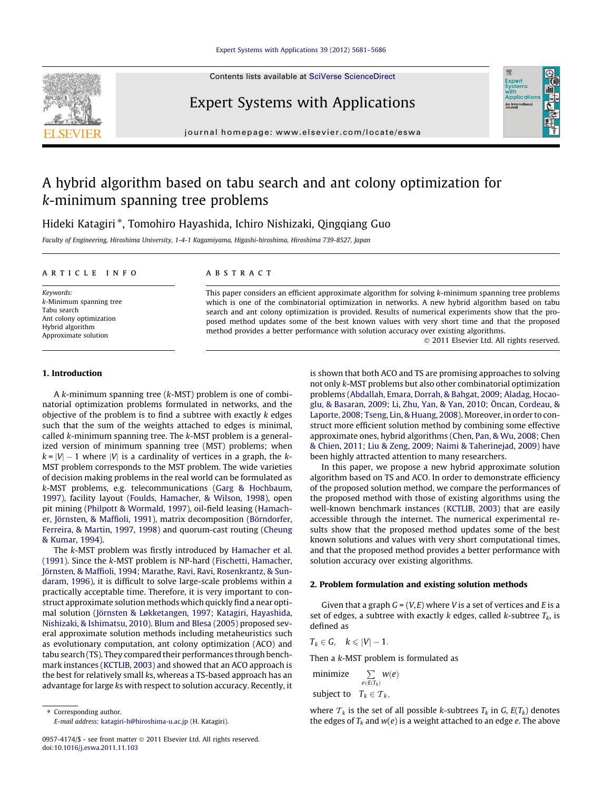#### [Expert Systems with Applications 39 \(2012\) 5681–5686](http://dx.doi.org/10.1016/j.eswa.2011.11.103)

Contents lists available at [SciVerse ScienceDirect](http://www.sciencedirect.com/science/journal/09574174)

# Expert Systems with Applications

journal homepage: [www.elsevier.com/locate/eswa](http://www.elsevier.com/locate/eswa)

# A hybrid algorithm based on tabu search and ant colony optimization for k-minimum spanning tree problems

Hideki Katagiri \*, Tomohiro Hayashida, Ichiro Nishizaki, Qingqiang Guo

Faculty of Engineering, Hiroshima University, 1-4-1 Kagamiyama, Higashi-hiroshima, Hiroshima 739-8527, Japan

## article info

Keywords: k-Minimum spanning tree Tabu search Ant colony optimization Hybrid algorithm Approximate solution

# ABSTRACT

This paper considers an efficient approximate algorithm for solving k-minimum spanning tree problems which is one of the combinatorial optimization in networks. A new hybrid algorithm based on tabu search and ant colony optimization is provided. Results of numerical experiments show that the proposed method updates some of the best known values with very short time and that the proposed method provides a better performance with solution accuracy over existing algorithms.

- 2011 Elsevier Ltd. All rights reserved.

Expert<br>Syster Applicatio An Interna

#### 1. Introduction

A k-minimum spanning tree (k-MST) problem is one of combinatorial optimization problems formulated in networks, and the objective of the problem is to find a subtree with exactly  $k$  edges such that the sum of the weights attached to edges is minimal, called k-minimum spanning tree. The k-MST problem is a generalized version of minimum spanning tree (MST) problems; when  $k = |V| - 1$  where  $|V|$  is a cardinality of vertices in a graph, the k-MST problem corresponds to the MST problem. The wide varieties of decision making problems in the real world can be formulated as k-MST problems, e.g. telecommunications ([Garg & Hochbaum,](#page--1-0) [1997\)](#page--1-0), facility layout ([Foulds, Hamacher, & Wilson, 1998](#page--1-0)), open pit mining ([Philpott & Wormald, 1997\)](#page--1-0), oil-field leasing [\(Hamach](#page--1-0)[er, Jörnsten, & Maffioli, 1991](#page--1-0)), matrix decomposition ([Börndorfer,](#page--1-0) [Ferreira, & Martin, 1997, 1998](#page--1-0)) and quorum-cast routing [\(Cheung](#page--1-0) [& Kumar, 1994\)](#page--1-0).

The k-MST problem was firstly introduced by [Hamacher et al.](#page--1-0) [\(1991\).](#page--1-0) Since the k-MST problem is NP-hard ([Fischetti, Hamacher,](#page--1-0) [Jörnsten, & Maffioli, 1994; Marathe, Ravi, Ravi, Rosenkrantz, & Sun](#page--1-0)[daram, 1996](#page--1-0)), it is difficult to solve large-scale problems within a practically acceptable time. Therefore, it is very important to construct approximate solution methods which quickly find a near optimal solution ([Jörnsten & Løkketangen, 1997; Katagiri, Hayashida,](#page--1-0) [Nishizaki, & Ishimatsu, 2010](#page--1-0)). [Blum and Blesa \(2005\)](#page--1-0) proposed several approximate solution methods including metaheuristics such as evolutionary computation, ant colony optimization (ACO) and tabu search (TS). They compared their performances through benchmark instances ([KCTLIB, 2003\)](#page--1-0) and showed that an ACO approach is the best for relatively small ks, whereas a TS-based approach has an advantage for large ks with respect to solution accuracy. Recently, it

⇑ Corresponding author. E-mail address: [katagiri-h@hiroshima-u.ac.jp](mailto:katagiri-h@hiroshima-u.ac.jp) (H. Katagiri). is shown that both ACO and TS are promising approaches to solving not only k-MST problems but also other combinatorial optimization problems ([Abdallah, Emara, Dorrah, & Bahgat, 2009; Aladag, Hocao](#page--1-0)[glu, & Basaran, 2009; Li, Zhu, Yan, & Yan, 2010; Öncan, Cordeau, &](#page--1-0) [Laporte, 2008; Tseng, Lin, & Huang, 2008](#page--1-0)). Moreover, in order to construct more efficient solution method by combining some effective approximate ones, hybrid algorithms ([Chen, Pan, & Wu, 2008; Chen](#page--1-0) [& Chien, 2011; Liu & Zeng, 2009; Naimi & Taherinejad, 2009](#page--1-0)) have been highly attracted attention to many researchers.

In this paper, we propose a new hybrid approximate solution algorithm based on TS and ACO. In order to demonstrate efficiency of the proposed solution method, we compare the performances of the proposed method with those of existing algorithms using the well-known benchmark instances ([KCTLIB, 2003\)](#page--1-0) that are easily accessible through the internet. The numerical experimental results show that the proposed method updates some of the best known solutions and values with very short computational times, and that the proposed method provides a better performance with solution accuracy over existing algorithms.

## 2. Problem formulation and existing solution methods

Given that a graph  $G = (V, E)$  where V is a set of vertices and E is a set of edges, a subtree with exactly k edges, called k-subtree  $T_k$ , is defined as

$$
T_k\in G,\quad k\leqslant |V|-1.
$$

Then a k-MST problem is formulated as

minimize  $\sum\limits_{e\in E(T_k)}w(e)$ subject to  $T_k \in \mathcal{T}_k$ ,

where  $T_k$  is the set of all possible k-subtrees  $T_k$  in G,  $E(T_k)$  denotes the edges of  $T_k$  and  $w(e)$  is a weight attached to an edge e. The above



<sup>0957-4174/\$ -</sup> see front matter © 2011 Elsevier Ltd. All rights reserved. doi[:10.1016/j.eswa.2011.11.103](http://dx.doi.org/10.1016/j.eswa.2011.11.103)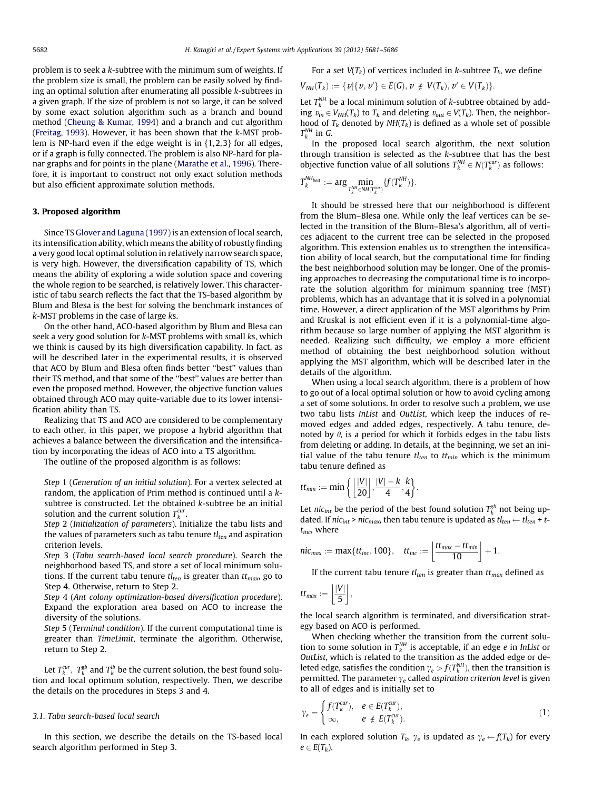problem is to seek a k-subtree with the minimum sum of weights. If the problem size is small, the problem can be easily solved by finding an optimal solution after enumerating all possible k-subtrees in a given graph. If the size of problem is not so large, it can be solved by some exact solution algorithm such as a branch and bound method ([Cheung & Kumar, 1994](#page--1-0)) and a branch and cut algorithm ([Freitag, 1993\)](#page--1-0). However, it has been shown that the k-MST problem is NP-hard even if the edge weight is in {1,2,3} for all edges, or if a graph is fully connected. The problem is also NP-hard for planar graphs and for points in the plane [\(Marathe et al., 1996](#page--1-0)). Therefore, it is important to construct not only exact solution methods but also efficient approximate solution methods.

#### 3. Proposed algorithm

Since TS [Glover and Laguna \(1997\)](#page--1-0) is an extension of local search, its intensification ability, which means the ability of robustly finding a very good local optimal solution in relatively narrow search space, is very high. However, the diversification capability of TS, which means the ability of exploring a wide solution space and covering the whole region to be searched, is relatively lower. This characteristic of tabu search reflects the fact that the TS-based algorithm by Blum and Blesa is the best for solving the benchmark instances of k-MST problems in the case of large ks.

On the other hand, ACO-based algorithm by Blum and Blesa can seek a very good solution for k-MST problems with small ks, which we think is caused by its high diversification capability. In fact, as will be described later in the experimental results, it is observed that ACO by Blum and Blesa often finds better ''best'' values than their TS method, and that some of the ''best'' values are better than even the proposed method. However, the objective function values obtained through ACO may quite-variable due to its lower intensification ability than TS.

Realizing that TS and ACO are considered to be complementary to each other, in this paper, we propose a hybrid algorithm that achieves a balance between the diversification and the intensification by incorporating the ideas of ACO into a TS algorithm.

The outline of the proposed algorithm is as follows:

Step 1 (Generation of an initial solution). For a vertex selected at random, the application of Prim method is continued until a ksubtree is constructed. Let the obtained k-subtree be an initial solution and the current solution  $T_k^{cur}$ .

Step 2 (Initialization of parameters). Initialize the tabu lists and the values of parameters such as tabu tenure  $tl_{ten}$  and aspiration criterion levels.

Step 3 (Tabu search-based local search procedure). Search the neighborhood based TS, and store a set of local minimum solutions. If the current tabu tenure  $tl_{ten}$  is greater than  $tt_{max}$ , go to Step 4. Otherwise, return to Step 2.

Step 4 (Ant colony optimization-based diversification procedure). Expand the exploration area based on ACO to increase the diversity of the solutions.

Step 5 (Terminal condition). If the current computational time is greater than TimeLimit, terminate the algorithm. Otherwise, return to Step 2.

Let  $T_k^{cur}$ ,  $T_k^{gb}$  and  $T_k^{lb}$  be the current solution, the best found solution and local optimum solution, respectively. Then, we describe the details on the procedures in Steps 3 and 4.

# 3.1. Tabu search-based local search

In this section, we describe the details on the TS-based local search algorithm performed in Step 3.

For a set 
$$
V(T_k)
$$
 of vertices included in  $k$ -subtree  $T_k$ , we define

$$
V_{NH}(T_k) := \{ v | \{ v, v' \} \in E(G), v \notin V(T_k), v' \in V(T_k) \}.
$$

Let  $T_k^{NH}$  be a local minimum solution of k-subtree obtained by adding  $v_{in} \in V_{NH}(T_k)$  to  $T_k$  and deleting  $v_{out} \in V(T_k)$ . Then, the neighborhood of  $T_k$  denoted by  $NH(T_k)$  is defined as a whole set of possible  $T_k^{NH}$  in G.

In the proposed local search algorithm, the next solution through transition is selected as the k-subtree that has the best objective function value of all solutions  $T_k^{NH} \in N(T_k^{cur})$  as follows:

$$
T_k^{\text{NH}_{best}}:=\text{arg} \underset{T_k^{\text{NH}} \in \text{NH}(T_k^{\text{cur}})}{\text{min}} \{f(T_k^{\text{NH}})\}.
$$

It should be stressed here that our neighborhood is different from the Blum–Blesa one. While only the leaf vertices can be selected in the transition of the Blum–Blesa's algorithm, all of vertices adjacent to the current tree can be selected in the proposed algorithm. This extension enables us to strengthen the intensification ability of local search, but the computational time for finding the best neighborhood solution may be longer. One of the promising approaches to decreasing the computational time is to incorporate the solution algorithm for minimum spanning tree (MST) problems, which has an advantage that it is solved in a polynomial time. However, a direct application of the MST algorithms by Prim and Kruskal is not efficient even if it is a polynomial-time algorithm because so large number of applying the MST algorithm is needed. Realizing such difficulty, we employ a more efficient method of obtaining the best neighborhood solution without applying the MST algorithm, which will be described later in the details of the algorithm.

When using a local search algorithm, there is a problem of how to go out of a local optimal solution or how to avoid cycling among a set of some solutions. In order to resolve such a problem, we use two tabu lists InList and OutList, which keep the induces of removed edges and added edges, respectively. A tabu tenure, denoted by  $\theta$ , is a period for which it forbids edges in the tabu lists from deleting or adding. In details, at the beginning, we set an initial value of the tabu tenure  $tl_{ten}$  to  $tt_{min}$  which is the minimum tabu tenure defined as

$$
tt_{min} := \min\left\{ \left\lfloor \frac{|V|}{20} \right\rfloor, \frac{|V| - k}{4}, \frac{k}{4} \right\}.
$$

Let nic<sub>int</sub> be the period of the best found solution  $T_k^{gb}$  not being updated. If nic<sub>int</sub> > nic<sub>max</sub>, then tabu tenure is updated as  $tl_{ten} \leftarrow tl_{ten} + t$  $t_{inc}$ , where

$$
\textit{nic}_{\textit{max}} := \text{max}\{\textit{tt}_{\textit{inc}}, 100\}, \quad \textit{tt}_{\textit{inc}} := \left\lfloor\frac{\textit{tt}_{\textit{max}} - \textit{tt}_{\textit{min}}}{10}\right\rfloor + 1.
$$

If the current tabu tenure  $tl_{ten}$  is greater than  $tt_{max}$  defined as

$$
tt_{max}:=\left\lfloor\frac{|V|}{5}\right\rfloor,
$$

the local search algorithm is terminated, and diversification strategy based on ACO is performed.

When checking whether the transition from the current solution to some solution in  $T_k^M$  is acceptable, if an edge *e* in *InList* or OutList, which is related to the transition as the added edge or deleted edge, satisfies the condition  $\gamma_e > f(T_k^{NH})$ , then the transition is permitted. The parameter  $\gamma_e$  called aspiration criterion level is given to all of edges and is initially set to

$$
\gamma_e = \begin{cases} f(T_k^{cur}), & e \in E(T_k^{cur}), \\ \infty, & e \notin E(T_k^{cur}). \end{cases}
$$
 (1)

In each explored solution  $T_k$ ,  $\gamma_e$  is updated as  $\gamma_e \leftarrow f(T_k)$  for every  $e \in E(T_k)$ .